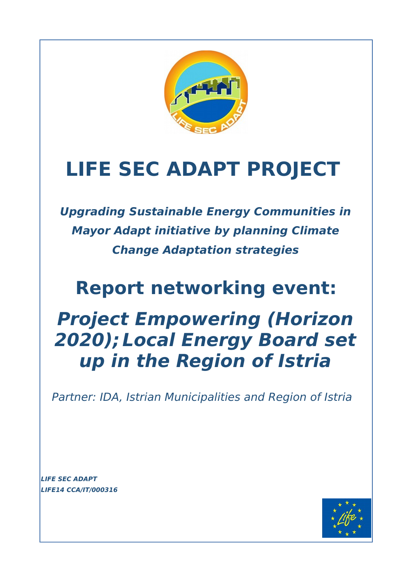

# **LIFE SEC ADAPT PROJECT**

**Upgrading Sustainable Energy Communities in Mayor Adapt initiative by planning Climate Change Adaptation strategies**

## **Report networking event:**

## **Project Empowering (Horizon 2020);Local Energy Board set up in the Region of Istria**

Partner: IDA, Istrian Municipalities and Region of Istria

**LIFE SEC ADAPT LIFE14 CCA/IT/000316**

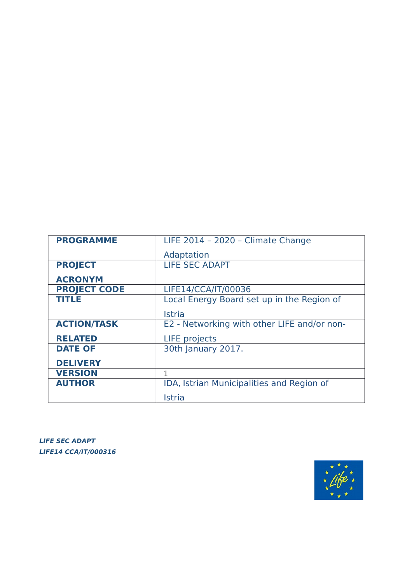| <b>PROGRAMME</b>    | LIFE 2014 - 2020 - Climate Change           |
|---------------------|---------------------------------------------|
|                     | Adaptation                                  |
| <b>PROJECT</b>      | <b>LIFE SEC ADAPT</b>                       |
| <b>ACRONYM</b>      |                                             |
| <b>PROJECT CODE</b> | LIFE14/CCA/IT/00036                         |
| <b>TITLE</b>        | Local Energy Board set up in the Region of  |
|                     | Istria                                      |
| <b>ACTION/TASK</b>  | E2 - Networking with other LIFE and/or non- |
| <b>RELATED</b>      | <b>LIFE</b> projects                        |
| <b>DATE OF</b>      | 30th January 2017.                          |
| <b>DELIVERY</b>     |                                             |
| <b>VERSION</b>      | 1                                           |
| <b>AUTHOR</b>       | IDA, Istrian Municipalities and Region of   |
|                     | Istria                                      |

**LIFE SEC ADAPT LIFE14 CCA/IT/000316** 

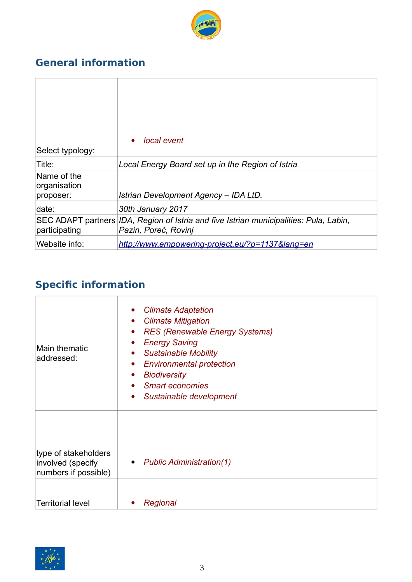

### **General information**

| Select typology:                         | local event                                                                                                    |
|------------------------------------------|----------------------------------------------------------------------------------------------------------------|
| Title:                                   | Local Energy Board set up in the Region of Istria                                                              |
| Name of the<br>organisation<br>proposer: | Istrian Development Agency - IDA LtD.                                                                          |
| date:                                    | 30th January 2017                                                                                              |
| participating                            | SEC ADAPT partners IDA, Region of Istria and five Istrian municipalities: Pula, Labin,<br>Pazin, Poreč, Rovinj |
| Website info:                            | http://www.empowering-project.eu/?p=1137⟨=en                                                                   |

### **Specific information**

| Main thematic<br>addressed:                                                                   | <b>Climate Adaptation</b><br>٠<br><b>Climate Mitigation</b><br>$\bullet$<br><b>RES (Renewable Energy Systems)</b><br>$\bullet$<br><b>Energy Saving</b><br>$\bullet$<br><b>Sustainable Mobility</b><br>$\bullet$<br><b>Environmental protection</b><br>٠<br><b>Biodiversity</b><br>$\bullet$<br><b>Smart economies</b><br>$\bullet$<br>Sustainable development<br>$\bullet$ |
|-----------------------------------------------------------------------------------------------|----------------------------------------------------------------------------------------------------------------------------------------------------------------------------------------------------------------------------------------------------------------------------------------------------------------------------------------------------------------------------|
| type of stakeholders<br>involved (specify<br>numbers if possible)<br><b>Territorial level</b> | <b>Public Administration(1)</b><br>$\bullet$<br>Regional                                                                                                                                                                                                                                                                                                                   |

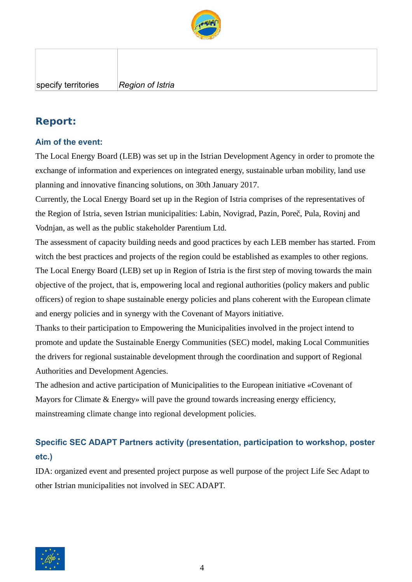

#### **Report:**

#### **Aim of the event:**

The Local Energy Board (LEB) was set up in the Istrian Development Agency in order to promote the exchange of information and experiences on integrated energy, sustainable urban mobility, land use planning and innovative financing solutions, on 30th January 2017.

Currently, the Local Energy Board set up in the Region of Istria comprises of the representatives of the Region of Istria, seven Istrian municipalities: Labin, Novigrad, Pazin, Poreč, Pula, Rovinj and Vodnjan, as well as the public stakeholder Parentium Ltd.

The assessment of capacity building needs and good practices by each LEB member has started. From witch the best practices and projects of the region could be established as examples to other regions. The Local Energy Board (LEB) set up in Region of Istria is the first step of moving towards the main objective of the project, that is, empowering local and regional authorities (policy makers and public officers) of region to shape sustainable energy policies and plans coherent with the European climate and energy policies and in synergy with the Covenant of Mayors initiative.

Thanks to their participation to Empowering the Municipalities involved in the project intend to promote and update the Sustainable Energy Communities (SEC) model, making Local Communities the drivers for regional sustainable development through the coordination and support of Regional Authorities and Development Agencies.

The adhesion and active participation of Municipalities to the European initiative «Covenant of Mayors for Climate & Energy» will pave the ground towards increasing energy efficiency, mainstreaming climate change into regional development policies.

#### **Specific SEC ADAPT Partners activity (presentation, participation to workshop, poster etc.)**

IDA: organized event and presented project purpose as well purpose of the project Life Sec Adapt to other Istrian municipalities not involved in SEC ADAPT.